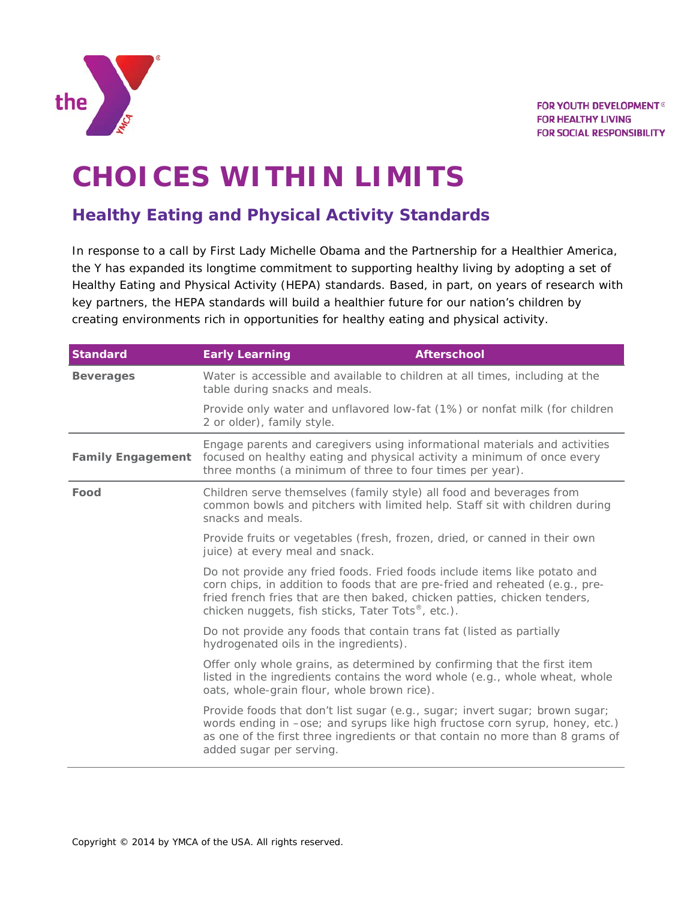

## **CHOICES WITHIN LIMITS**

## **Healthy Eating and Physical Activity Standards**

In response to a call by First Lady Michelle Obama and the Partnership for a Healthier America, the Y has expanded its longtime commitment to supporting healthy living by adopting a set of Healthy Eating and Physical Activity (HEPA) standards. Based, in part, on years of research with key partners, the HEPA standards will build a healthier future for our nation's children by creating environments rich in opportunities for healthy eating and physical activity.

| <b>Standard</b>                                                                                               | <b>Early Learning</b>                                                                                                                                                                                                                                                                       | <b>Afterschool</b>                                                                                                                                  |  |
|---------------------------------------------------------------------------------------------------------------|---------------------------------------------------------------------------------------------------------------------------------------------------------------------------------------------------------------------------------------------------------------------------------------------|-----------------------------------------------------------------------------------------------------------------------------------------------------|--|
| <b>Beverages</b>                                                                                              | Water is accessible and available to children at all times, including at the<br>table during snacks and meals.                                                                                                                                                                              |                                                                                                                                                     |  |
|                                                                                                               | Provide only water and unflavored low-fat (1%) or nonfat milk (for children<br>2 or older), family style.                                                                                                                                                                                   |                                                                                                                                                     |  |
| <b>Family Engagement</b>                                                                                      | Engage parents and caregivers using informational materials and activities<br>focused on healthy eating and physical activity a minimum of once every<br>three months (a minimum of three to four times per year).                                                                          |                                                                                                                                                     |  |
| Food                                                                                                          | snacks and meals.                                                                                                                                                                                                                                                                           | Children serve themselves (family style) all food and beverages from<br>common bowls and pitchers with limited help. Staff sit with children during |  |
| Provide fruits or vegetables (fresh, frozen, dried, or canned in their own<br>juice) at every meal and snack. |                                                                                                                                                                                                                                                                                             |                                                                                                                                                     |  |
|                                                                                                               | Do not provide any fried foods. Fried foods include items like potato and<br>corn chips, in addition to foods that are pre-fried and reheated (e.g., pre-<br>fried french fries that are then baked, chicken patties, chicken tenders,<br>chicken nuggets, fish sticks, Tater Tots®, etc.). |                                                                                                                                                     |  |
|                                                                                                               | Do not provide any foods that contain trans fat (listed as partially<br>hydrogenated oils in the ingredients).                                                                                                                                                                              |                                                                                                                                                     |  |
|                                                                                                               | Offer only whole grains, as determined by confirming that the first item<br>listed in the ingredients contains the word whole (e.g., whole wheat, whole<br>oats, whole-grain flour, whole brown rice).                                                                                      |                                                                                                                                                     |  |
|                                                                                                               | Provide foods that don't list sugar (e.g., sugar; invert sugar; brown sugar;<br>words ending in -ose; and syrups like high fructose corn syrup, honey, etc.)<br>as one of the first three ingredients or that contain no more than 8 grams of<br>added sugar per serving.                   |                                                                                                                                                     |  |